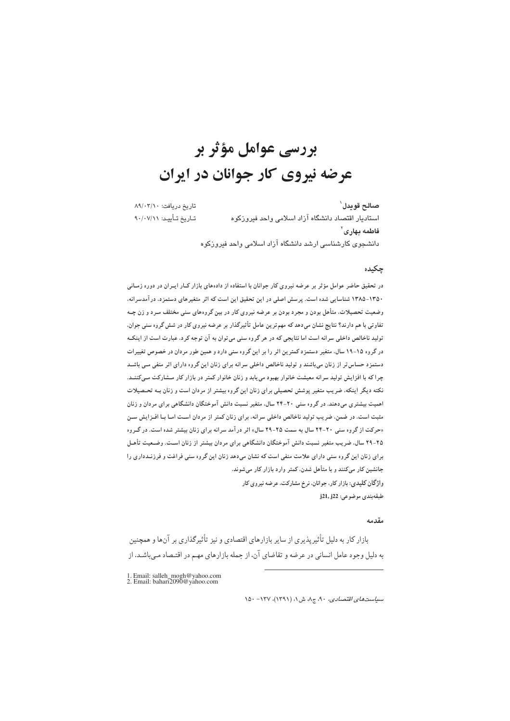# بررسی عوامل مؤثر بر عرضه نیروی کار جوانان در ایران

صالح قويدل` تاریخ دریافت: ۸۹/۰۳/۱۰ تـاريخ تـأييـد: ٩٠/٠٧/١١ استادیار اقتصاد دانشگاه آزاد اسلامی واحد فیروزکوه  $\frac{1}{2}$ فاطمه يهاري دانشجوی کارشناسی ارشد دانشگاه آزاد اسلامی واحد فیروزکوه

#### چکىدە

در تحقیق حاضر عوامل مؤثر بر عرضه نیروی کار جوانان با استفاده از دادههای بازار کـار ایــران در دوره زمــانی ۱۳۵۰-۱۳۸۵ شناسایی شده است. پرسش اصلی در این تحقیق این است که اثر متغیرهای دستمزد، در آمدسرانه، وضعیت تحصیلات، متأهل بودن و مجرد بودن بر عرضه نیروی کار در بین گروههای سنی مختلف مـرد و زن چـه تفاوتی با هم دارند؟ نتایج نشان میدهد که مهم ترین عامل تأثیرگذار بر عرضه نیروی کار در شش گروه سنی جوان. تولید ناخالص داخلی سرانه است اما نتایجی که در هر گروه سنی می توان به آن توجه کرد، عبارت است از اینکـه در گروه ۱۵-۱۹ سال، متغیر دستمزد کمترین اثر را بر این گروه سنی دارد و همین طور مردان در خصوص تغییرات دستمزد حساس تر از زنان میباشند و تولید ناخالص داخلی سرانه برای زنان این گروه دارای اثر منفی مـی باشـد چرا که با افزایش تولید سرانه معیشت خانوار بهبود می یابد و زنان خانوار کمتر در بازار کار مـشارکت مـیکننــد. نکته دیگر اینکه، ضریب متغیر پوشش تحصیلی برای زنان این گروه بیشتر از مردان است و زنان بـه تحـصیلات اهمیت بیشتری میدهند. در گروه سنی ۲۰-۲۴ سال، متغیر نسبت دانش آموختگان دانشگاهی برای مردان و زنان مثبت است. در ضمن، ضریب تولید ناخالص داخلی سرانه، برای زنان کمتر از مردان اسـت امـا بـا افـزایش سـن «حرکت از گروه سنی ۲۰-۲۴ سال به سمت ۲۵-۲۹ سال» اثر در آمد سرانه برای زنان بیشتر شده است. در گروه ۲۵-۲۹ سال، ضریب متغیر نسبت دانش آموختگان دانشگاهی برای مردان بیشتر از زنان اسـت. وضـعیت تأهـل برای زنان این گروه سنی دارای علامت منفی است که نشان میدهد زنان این گروه سنی فراغت و فرزنـدداری را جانشین کار میکنند و با متأهل شدن، کمتر وارد بازار کار می شوند. واژگان کلیدی: بازار کار، جوانان، نرخ مشارکت، عرضه نیروی کار

طبقەبندى موضوعى: j21, j22

#### مقدمه

بازار کار به دلیل تأثیر پذیری از سایر بازارهای اقتصادی و نیز تأثیرگذاری بر آنها و همچنین به دلیل وجود عامل انسانی در عرضه و تقاضای آن، از جمله بازارهای مهم در اقتـصاد مـیباشـد. از

1. Email: salleh\_mogh@yahoo.com<br>2. Email: bahari2090@yahoo.com

 $\Lambda$ 2۰ - سياست هاي اقتصادي، ٩٠، ج ٨، ش ١، (١٣٩١)، ١٣٧ - ١٥٠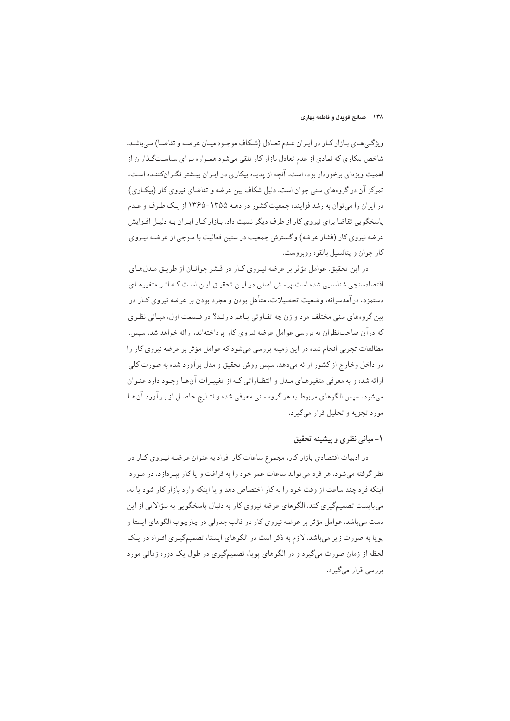ویژگیههای بیازار کبار در ایبران عبدم تعبادل (شکاف موجبود میبان عرضه و تقاضا) می باشید. شاخص بیکاری که نمادی از عدم تعادل بازار کار تلقی میشود همـواره بـرای سیاسـتگـذاران از اهمیت ویژهای برخوردار بوده است. آنچه از پدیده بیکاری در ایـران بیـشتر نگـرانکننـده اسـت، تمرکز آن در گروههای سنی جوان است. دلیل شکاف بین عرضه و تقاضای نیروی کار (بیکـاری) در ایران را می توان به رشد فزاینده جمعیت کشور در دهـه ۱۳۵۵-۱۳۶۵ از یـک طـرف و عـدم پاسخگویی تقاضا برای نیروی کار از طرف دیگر نسبت داد. بـازار کـار ایـران بـه دلیـل افـزایش عرضه نیروی کار (فشار عرضه) و گسترش جمعیت در سنین فعالیت با مـوجی از عرضـه نیـروی کار جوان و پتانسیل بالقوه روبروست.

در این تحقیق، عوامل مؤثر بر عرضه نیـروی کـار در قـشر جوانـان از طریـق مـدلهـای اقتصادسنجی شناسایی شده است.پرسش اصلی در ایـن تحقیـق ایـن اسـت کـه اثـر متغیرهـای دستمزد، در آمدسرانه، وضعیت تحصیلات، متأهل بودن و مجرد بودن بر عرضه نیروی کـار در بین گروههای سنی مختلف مرد و زن چه تفـاوتی بـاهم دارنـد؟ در قـسمت اول، مبـانی نظـری که در آن صاحب نظران به بررسی عوامل عرضه نیروی کار پرداختهاند، ارائه خواهد شد. سپس، مطالعات تجربی انجام شده در این زمینه بررسی میشود که عوامل مؤثر بر عرضه نیروی کار را در داخل وخارج از کشور ارائه میدهد. سپس روش تحقیق و مدل بر آورد شده به صورت کلی ارائه شده و به معرفی متغیرهـای مـدل و انتظـاراتی کـه از تغییـرات آنهـا وجـود دارد عنـوان می شود. سپس الگوهای مربوط به هر گروه سنی معرفی شده و نتـایج حاصـل از بـرآورد آن هـا مورد تجزیه و تحلیل قرار میگیرد.

## ١- مباني نظري و پيشينه تحقيق

در ادبیات اقتصادی بازار کار، مجموع ساعات کار افراد به عنوان عرضه نیروی کـار در نظر گرفته می شود. هر فرد می تواند ساعات عمر خود را به فراغت و پاکار پسردازد. در میورد اینکه فرد چند ساعت از وقت خود را به کار اختصاص دهد و یا اینکه وارد بازار کار شود یا نه، می،بایست تصمیمگیری کند. الگوهای عرضه نیروی کار به دنبال پاسخگویی به سؤالاتی از این دست می باشد. عوامل مؤثر بر عرضه نیروی کار در قالب جدولی در چارچوب الگوهای ایستا و پویا به صورت زیر میباشد. لازم به ذکر است در الگوهای ایستا، تصمیمگیری افراد در یک لحظه از زمان صورت میگیرد و در الگوهای پویا، تصمیمگیری در طول یک دوره زمانی مورد بررسی قرار میگیرد.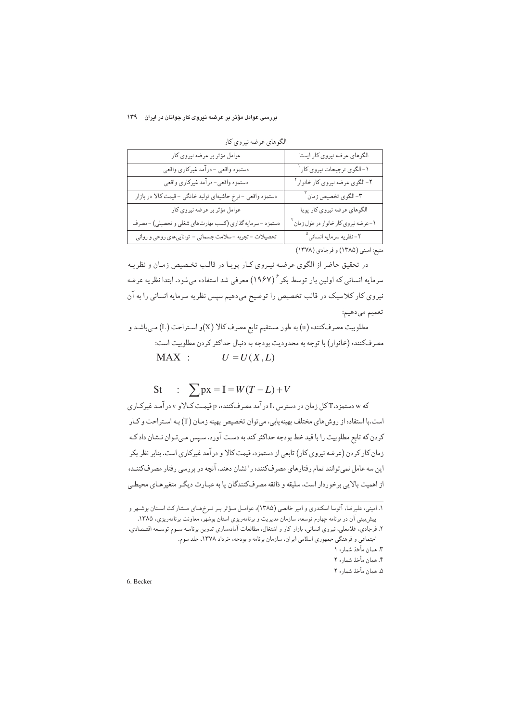## بررسی عوامل مؤثر بر عرضه نیروی کار جوانان در ایران ۱۳۹

| عوامل مؤثر بر عرضه نیروی کار                              | الگوهاي عرضه نيروي كار ايستا                                                                                         |
|-----------------------------------------------------------|----------------------------------------------------------------------------------------------------------------------|
| دستمزد واقعي - درآمد غيركاري واقعي                        | ۱- الگوي ترجيحات نيروي كار ا                                                                                         |
| دستمزد واقعي- درآمد غيركاري واقعي                         | ۲-الگوي عرضه نيروي کار خانوار ٔ                                                                                      |
| دستمزد واقعی -نرخ حاشیهای تولید خانگی -قیمت کالا در بازار | ٣- الگوي تخصيص زمان <sup>٣</sup>                                                                                     |
| عوامل مؤثر بر عرضه نیروی کار                              | الگوهاي عرضه نيروي كار پويا                                                                                          |
| دستمزد -سرمایه گذاری (کسب مهارتهای شغلی و تحصیلی) -مصرف   | ۱-عرضه نیروی کار خانوار در طول زمان                                                                                  |
| تحصیلات - تجربه -سلامت جسمانی - تواناییهای روحی و روانی   | ۲- نظریه سرمایه انسانی <sup>۵</sup>                                                                                  |
|                                                           | $(\mathbf{W} \mathbf{V} \mathbf{A})$ of $(\mathbf{W} \mathbf{A} \mathbf{A})$ of $(\mathbf{W} \mathbf{A} \mathbf{A})$ |

الگوهای عرضه نیروی کار

منبع: اميني (١٣٨٥) و فرجادي (١٣٧٨)

در تحقیق حاضر از الگوی عرضه نیـروی کـار پویـا در قالـب تخـصیص زمـان و نظریـه سرمایه انسانی که اولین بار توسط بکر  $\bigl(\hat{X,Y}\bigr)^{\ell}$  معرفی شد استفاده می شود. ابتدا نظریه عرضه نیروی کار کلاسیک در قالب تخصیص را توضیح میدهیم سپس نظریه سرمایه انسانی را به آن تعميم ميدهيم:

مطلوبيت مصرفكننده (u) به طور مستقيم تابع مصرف كالا (X)و استراحت (L) مي باشد و مصرفکننده (خانوار) با توجه به محدودیت بودجه به دنبال حداکثر کردن مطلوبیت است:  $MAX:$  $U = U(X,L)$ 

#### $\therefore \sum px = I = W(T - L) + V$ **St**

که w دستمز د، T کل زمان در دسترس ،I در آمد مصر فکننده، p قیمت کیالاو v در آمـد غیرکیاری است.با استفاده از روش های مختلف بهینه یابی، می توان تخصیص بهینه زمـان (T) بـه اسـتراحت و كـار کردن که تابع مطلوبیت را با قید خط بودجه حداکثر کند به دست آورد. سپس میتوان نـشان داد کـه زمان کار کردن (عرضه نیروی کار) تابعی از دستمزد، قیمت کالا و درآمد غیرکاری است. بنابر نظر بکر این سه عامل نمی توانند تمام رفتارهای مصرفکننده را نشان دهند، آنچه در بررسی رفتار مصرفکننـده از اهميت بالايي برخوردار است، سليقه و ذائقه مصرفكنندگان يا به عبـارت ديگـر متغيرهـاي محيطـي

6. Becker

١. اميني، عليرضا، آتوسا اسكندري و امير خالصي (١٣٨٥)، عوامـل مـؤثر بـر نـرخمـاي مـشاركت اسـتان بوشـهر و پیش بینی آن در برنامه چهارم توسعه، سازمان مدیریت و برنامهریزی استان بوشهر، معاونت برنامهریزی، ۱۳۸۵.

۲. فرجادی، غلامعلی، نیروی انسانی، بازار کار و اشتغال، مطالعات آمادهسازی تدوین برنامــه ســوم توســعه اقتــصادی، اجتماعی و فرهنگی جمهوری اسلامی ایران، سازمان برنامه و بودجه، خرداد ۱۳۷۸، جلد سوم.

۳. همان مأخذ شماره ۱

۴. همان مأخذ شماره ۲

۵. همان مأخذ شماره ۲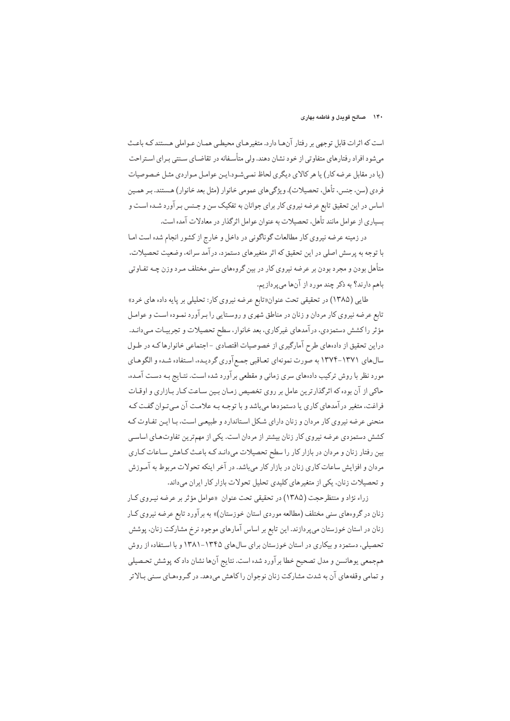#### ۱۴۰ صالح قویدل و فاطمه بهاری

است که اثرات قابل توجهی بر رفتار آنهـا دارد. متغیرهـای محیطـی همـان عـواملی هـستند کـه باعـث میشود افراد رفتارهای متفاوتی از خود نشان دهند. ولی متأسـفانه در تقاضـای سـنتی بـرای اسـتراحت (یا در مقابل عرضه کار) یا هر کالای دیگری لحاظ نمبی شود.ایـن عوامـل مـواردی مثـل خـصوصیات فردي (سن، جنس، تأهل، تحصيلات)، ويژگيهاي عمومي خانوار (مثل بعد خانوار) هـستند. بـر همـين اساس در این تحقیق تابع عرضه نیروی کار برای جوانان به تفکیک سن و جـنس بـرآورد شـده اسـت و بسیاری از عوامل مانند تأهل، تحصیلات به عنوان عوامل اثر گذار در معادلات آمده است.

در زمینه عرضه نیروی کار مطالعات گوناگونی در داخل و خارج از کشور انجام شده است امـا با توجه به پرسش اصلی در این تحقیق که اثر متغیرهای دستمزد، درآمد سرانه، وضعیت تحصیلات، متأهل بودن و مجرد بودن بر عرضه نیروی کار در بین گروههای سنی مختلف مـرد وزن چــه تفـاوتی باهم دارند؟ به ذکر چند مورد از آنها میپردازیم.

طایی (۱۳۸۵) در تحقیقی تحت عنوان«تابع عرضه نیروی کار: تحلیلی بر پایه داده های خرد» تابع عرضه نیروی کار مردان و زنان در مناطق شهری و روستایی را بـرآورد نمـوده است و عوامـل مؤثر راكشش دستمزدي، درآمدهاي غيركاري، بعد خانوار، سطح تحصيلات و تجربيـات مـيدانـد. دراین تحقیق از دادههای طرح آمارگیری از خصوصیات اقتصادی -اجتماعی خانوارها کـه در طـول سال های ۱۳۷۱-۱۳۷۴ به صورت نمونهای تعـاقبی جمـع آوری گردیـده، اسـتفاده شـده و الگوهـای مورد نظر با روش ترکیب دادههای سری زمانی و مقطعی بر آورد شده است. نتـایج بـه دسـت آمـده، حاکی از آن بوده که اثر گذارترین عامل بر روی تخصیص زمـان بـین سـاعت کـار بـازاری و اوقـات فراغت، متغیر درآمدهای کاری یا دستمزدها می باشد و با توجـه بـه علامـت آن مـی تـوان گفـت کـه منحنی عرضه نیروی کار مردان و زنان دارای شکل استاندارد و طبیعی است، بـا ایـن تفـاوت کـه کشش دستمزدی عرضه نیروی کار زنان بیشتر از مردان است. یکی از مهمترین تفاوتهای اساسی بین رفتار زنان و مردان در بازار كار را سطح تحصیلات میدانـد كـه باعـث كـاهش سـاعات كـارى مردان و افزایش ساعات کاری زنان در بازار کار میباشد. در آخر اینکه تحولات مربوط به آمـوزش و تحصیلات زنان، یکی از متغیرهای کلیدی تحلیل تحولات بازار کار ایران می داند.

زراء نژاد و منتظرحجت (۱۳۸۵) در تحقیقی تحت عنوان «عوامل مؤثر بر عرضه نیـروی کـار زنان در گروههای سنبی مختلف (مطالعه موردی استان خوزستان)» به برآورد تابع عرضه نیروی کـار زنان در استان خوزستان می پردازند. این تابع بر اساس آمارهای موجود نرخ مشارکت زنان، پوشش تحصیلی، دستمزد و بیکاری در استان خوزستان برای سال های ۱۳۴۵–۱۳۸۱ و با استفاده از روش همجمعي يوهانسن و مدل تصحيح خطا برآورد شده است. نتايج آنها نشان داد كه پوشش تحصيلي و تمامی وقفههای آن به شدت مشارکت زنان نوجوان را کاهش می دهد. در گـروههای سـنی بـالاتر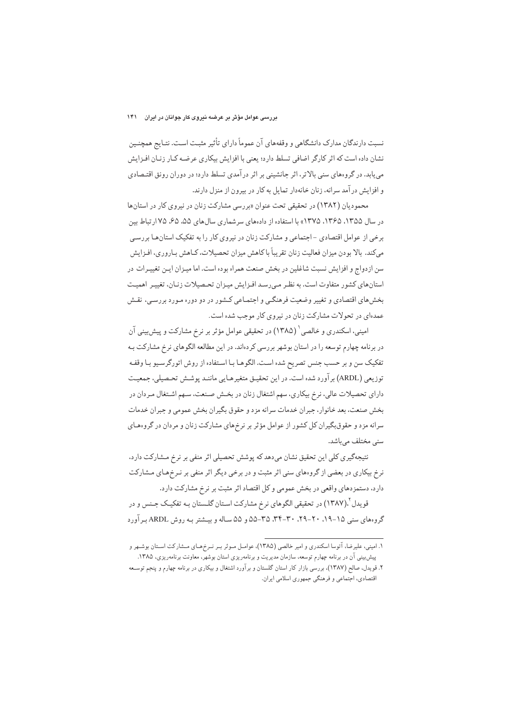نسبت دارندگان مدارک دانشگاهی و وقفههای آن عموماً دارای تأثیر مثبت است. نتـایج همچنـین نشان داده است که اثر کارگر اضافی تسلط دارد؛ یعنی با افزایش بیکاری عرضه کـار زنـان افـزایش می پابد. در گروههای سنی بالاتر، اثر جانشینی بر اثر درآمدی تسلط دارد؛ در دوران رونق اقتـصادی و افزایش در آمد سرانه، زنان خانهدار تمایل به کار در بیرون از منزل دارند.

محمودیان (۱۳۸۲) در تحقیقی تحت عنوان «بررسی مشارکت زنان در نیروی کار در استانها در سال ۱۳۵۵، ۱۳۶۵، ۱۳۷۵» با استفاده از دادههای سرشماری سال های ۵۵، ۶۵، ۱۷۵ تباط بین برخی از عوامل اقتصادی - اجتماعی و مشارکت زنان در نیروی کار را به تفکیک استانهـا بررسـی می کند. بالا بودن میزان فعالیت زنان تقریباً با کاهش میزان تحصیلات، کـاهش بـاروری، افـزایش سن ازدواج و افزایش نسبت شاغلین در بخش صنعت همراه بوده است. اما میـزان ایـن تغییـرات در استانهای کشور متفاوت است. به نظر مهررسد افـزایش میـزان تحـصیلات زنـان، تغییـر اهمیـت بخشهای اقتصادی و تغییر وضعیت فرهنگبی و اجتمـاعی کـشور در دو دوره مـورد بررسـي، نقـش عمدهای در تحولات مشارکت زنان در نیروی کار موجب شده است.

امینی، اسکندری و خالصی ` (۱۳۸۵) در تحقیقی عوامل مؤثر بر نرخ مشارکت و پیش بینی آن در برنامه چهارم توسعه را در استان بوشهر بررسی کردهاند. در این مطالعه الگوهای نرخ مشارکت بـه تفکیک سن و بر حسب جنس تصریح شده است. الگوهـا بـا اسـتفاده از روش اتورگرسـيو بـا وقفـه توزیعی (ARDL) برآورد شده است. در این تحقیـق متغیرهـایی ماننـد پوشـش تحـصیلی، جمعیـت دارای تحصیلات عالی، نرخ بیکاری، سهم اشتغال زنان در بخـش صـنعت، سـهم اشـتغال مـردان در بخش صنعت، بعد خانوار، جبران خدمات سرانه مزد و حقوق بگیران بخش عمومی و جبران خدمات سرانه مزد و حقوق بگیران کل کشور از عوامل مؤثر بر نرخهای مشارکت زنان و مردان در گروههای سنى مختلف مىباشد.

نتیجهگیری کلی این تحقیق نشان میدهد که پوشش تحصیلی اثر منفی بر نرخ مشارکت دارد، نرخ بیکاری در بعضی از گروههای سنی اثر مثبت و در برخی دیگر اثر منفی بر نـرخهـای مـشارکت دارد، دستمزدهای واقعی در بخش عمومی و کل اقتصاد اثر مثبت بر نرخ مشارکت دارد.

قو يدل \(١٣٨٧) در تحقيقي الگوهاي نرخ مشاركت اسـتان گلـستان بـه تفكيـك جـنس و در گروههای سنی ۱۵-۱۹. ۲۰-۲۹. ۳۴-۳۴. ۳۵-۵۵ و ۵۵ سـاله و بیـشتر بـه روش ARDL بـرآورد

۱. امینی، علیرضا، آتوسا اسکندری و امیر خالصی (۱۳۸۵)، عوامـل مـوثر بـر نـرِخمهـای مـشارکت اسـتان بوشـهر و پیشبینی آن در برنامه چهارم توسعه، سازمان مدیریت و برنامهریزی استان بوشهر، معاونت برنامهریزی، ۱۳۸۵.

۲. قویدل، صالح (۱۳۸۷)، بررسی بازار کار استان گلستان و برآورد اشتغال و بیکاری در برنامه چهارم و پنجم توسـعه اقتصادي، اجتماعي و فرهنگي جمهوري اسلامي ايران.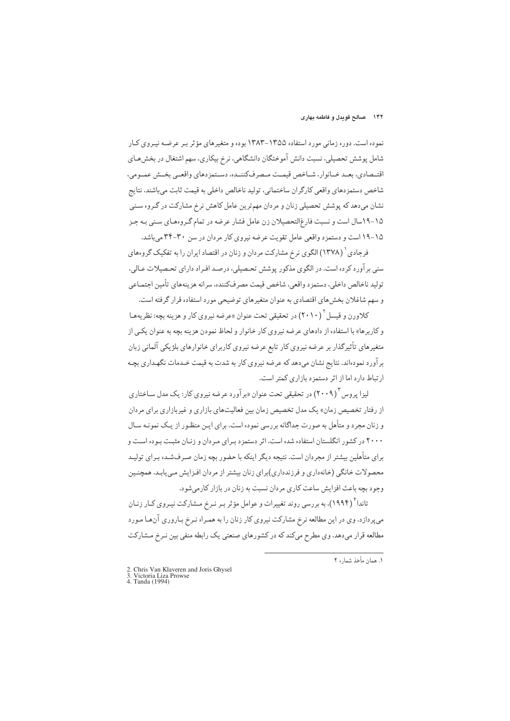#### ۱۴۲ - صالح قویدل و فاطمه بهاری

نموده است. دوره زمانی مورد استفاده ۱۳۵۵–۱۳۸۳ بوده و متغیرهای مؤثر بـر عرضـه نیـروی کـار شامل یوشش تحصیلی، نسبت دانش آموختگان دانشگاهی، نرخ بیکاری، سهم اشتغال در بخش هـای اقتـصادي، بعـبد خـبانوار، شـباخص قيمـت مـصرفِ كننـبده، دسـتمز دهاي واقعـبي بخـيش عمـومي، شاخص دستمزدهاي واقعي كارگران ساختماني، توليد ناخالص داخلي به قيمت ثابت مي باشند. نتايج نشان میدهد که پوشش تحصیلی زنان و مردان مهمترین عامل کاهش نرخ مشارکت در گروه سنبی ۱۵-۱۹سال است و نسبت فارغ|لتحصیلان زن عامل فشار عرضه در تمام گـروههـای سـنی بـه جـز ۱۵-۱۹ است و دستمزد واقعی عامل تقویت عرضه نیروی کار مردان در سن ۳۰-۳۴ می باشد.

فرجادي ( (١٣٧٨) الگوي نرخ مشاركت مر دان و زنان در اقتصاد ايران را به تفكيك گروههاي سنی بر آورد کرده است. در الگوی مذکور یوشش تحصیلی، درصد افـراد دارای تحـصیلات عـالی، توليد ناخالص داخلي، دستمزد واقعي، شاخص قيمت مصر فكننده، سرانه هزينههاي تأمين اجتمـاعي و سهم شاغلان بخشهای اقتصادی به عنوان متغیرهای توضیحی مورد استفاده قرار گرفته است.

کلاورن و قیسل ۲۰۱۰) در تحقیقی تحت عنوان «عرضه نیروی کار و هزینه بچه: نظریههـا و کاربرها» با استفاده از دادهای عرضه نیروی کار خانوار و لحاظ نمودن هزینه بچه به عنوان یک<sub>می</sub> از متغیرهای تأثیرگذار بر عرضه نیروی کار تابع عرضه نیروی کاربرای خانوارهای بلژیکی آلمانی زبان بر آورد نمودهاند. نتایج نشان می دهد که عرضه نیروی کار به شدت به قیمت خـدمات نگهـداری بچـه ارتباط دارد اما از اثر دستمزد بازاری کمتر است.

لیزا پروس ۱٫۳ (۲۰۰۹) در تحقیقی تحت عنوان «بر آورد عرضه نیروی کار: یک مدل سـاختاری از رفتار تخصیص زمان» یک مدل تخصیص زمان بین فعالیتهای بازاری و غیربازاری برای مردان و زنان مجرد و متأهل به صورت جداگانه بررسی نموده است. برای ایـن منظـور از یـک نمونـه سـال ۲۰۰۰ در کشور انگلستان استفاده شده است. اثر دستمزد بـرای مـردان و زنـان مثبـت بـوده اسـت و برای متأهلین بیشتر از مجردان است. نتیجه دیگر اینکه با حضور بچه زمان صـرفشـده بـرای تولیـد محصولات خانگی (خانهداری و فرزندداری)برای زنان بیشتر از مردان افـزایش مـی یابـد. همچنـین وجود بچه باعث افزایش ساعت کاری مردان نسبت به زنان در بازار کارمیشود.

تاندا ٔ (۱۹۹۴)، به بررسی روند تغییرات و عوامل مؤثر بـر نـرخ مـشارکت نیـروی کـار زنـان می پردازد. وی در این مطالعه نرخ مشارکت نیروی کار زنان را به همـراه نـرخ بـاروری آنهـا مـورد مطالعه قرار میدهد. وی مطرح میکند که در کشورهای صنعتی یک رابطه منفی بین نـرخ مـشارکت

١. همان مأخذ شما, ه ٢

<sup>2.</sup> Chris Van Klaveren and Joris Ghysel<br>3. Victoria Liza Prowse<br>4. Tanda (1994)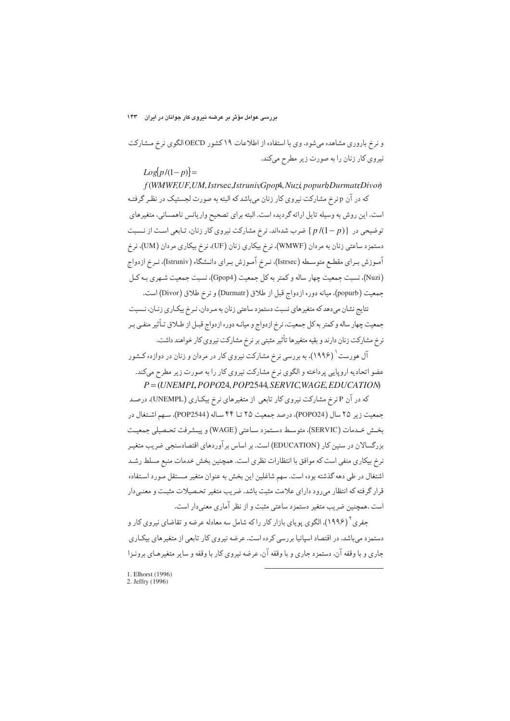## بررسی عوامل مؤثر بر عرضه نیروی کار جوانان در ایران مع

و نرخ باروری مشاهده میشود. وی با استفاده از اطلاعات ۱۹ کشور OECD الگوی نرخ مشارکت نیروی کار زنان را به صورت زیر مطرح میکند.

 $Log[p/(1-p)] =$ 

f (WMWF.UF.UM. Istrsec. IstrunivGporA. Nuzi popurbDurmatrDivon

که در آن p نرخ مشارکت نیروی کار زنان میباشد که البته به صورت لجستیک در نظـر گرفتـه است. این روش به وسیله تایل ارائه گردیده است. البته برای تصحیح واریانس ناهمسانی، متغیرهای توضیحی در {(p/(1-p) ضرب شدهاند. نرخ مشارکت نیروی کار زنان، تـابعی اسـت از نـسبت دستمزد ساعتی زنان به مردان (WMWF)، نرخ بیکاری زنان (UF)، نرخ بیکاری مردان (UM)، نرخ آمـوزش بـراي مقطـع متوسـطه (Istrsec)، نـرخ آمـوزش بـراي دانـشگاه (Istruniv)، نـرخ ازدواج (Nuzi)، نسبت جمعیت چهار ساله و کمتر به کل جمعیت (Gpop4)، نسبت جمعیت شـهری بـه کـل جمعیت (popurb). میانه دوره ازدواج قبل از طلاق (Durmatr) و نرخ طلاق (Divor) است.

نتایج نشان میدهد که متغیرهای نسبت دستمزد ساعتی زنان به مردان، نـرخ بیکـاری زنـان، نـسبت جمعیت چهار ساله و کمتر به کل جمعیت، نرخ ازدواج و میانـه دوره ازدواج قبـل از طـلاق تـأثیر منفـي بـر نرخ مشارکت زنان دارند و بقیه متغیرها تأثیر مثبتی بر نرخ مشارکت نیروی کار خواهند داشت.

آل هورست <sup>۱</sup> (۱۹۹۶)، به بررسی نرخ مشارکت نیروی کار در مردان و زنان در دوازده کـشور عضو اتحادیه اروپایی پر داخته و الگوی نرخ مشارکت نیروی کار را به صورت زیر مطرح میکند.  $P = (UNEMPL POPO24, POP2544, SERVICWAGE, EDUCATION$ 

که در آن P نرخ مشارکت نیروی کار تابعی از متغیرهای نرخ بیکاری (UNEMPL)، درصد جمعيت زير ٢۵ سال (POPO24)، درصد جمعيت ٢۵ تــا ۴۴ سـاله (POP2544)، سـهم اشـتغال در بخـش خـدمات (SERVIC)، متوسـط دسـتمزد سـاعتي (WAGE) و پيــشرفت تحـصيلي جمعيـت بزرگسالان در سنین کار (EDUCATION) است. بر اساس بر آوردهای اقتصادسنجی ضریب متغیـر نرخ بیکاری منفی است که موافق با انتظارات نظری است. همچنین بخش خدمات منبع مسلط رشـد اشتغال در طی دهه گذشته بوده است. سهم شاغلین این بخش به عنوان متغیر مستقل مـورد اسـتفاده قرار گرفته که انتظار میرود دارای علامت مثبت باشد. ضریب متغیر تحصیلات مثبت و معنـیدار است .همچنین ضریب متغیر دستمزد ساعتی مثبت و از نظر آماری معنی دار است.

جفری ٔ (۱۹۹۶)، الگوی یو پای بازار کار را که شامل سه معادله عرضه و تقاضای نیروی کار و دستمزد می باشد، در اقتصاد اسپانیا بررسی کرده است. عرضه نیروی کار تابعی از متغیرهای بیکاری جاري و با وقفه آن، دستمزد جاري و با وقفه آن، عرضه نيروي كار با وقفه و ساير متغيرهـاي برونـزا

<sup>1.</sup> Elhorst (1996) 2. Jeffry  $(1996)$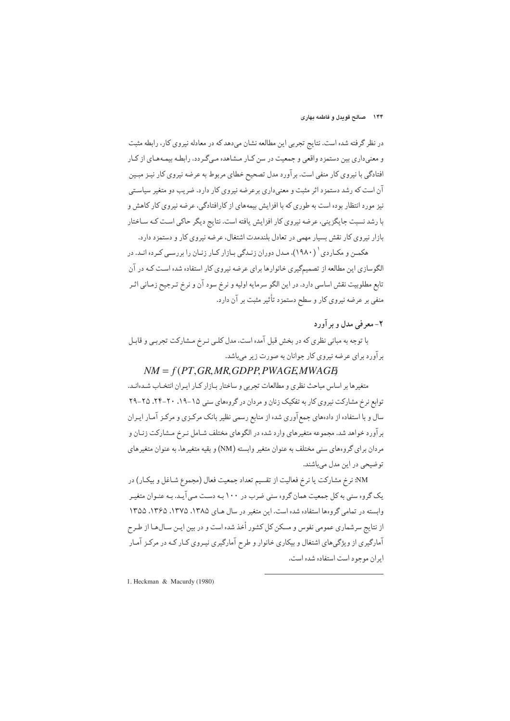در نظر گرفته شده است. نتایج تجربی این مطالعه نشان میدهد که در معادله نیروی کار، رابطه مثبت و معنیداری بین دستمزد واقعی و جمعیت در سن کـار مـشاهده مـیگـردد. رابطـه بیمـههـای از کـار افتادگی با نیروی کار منفی است. برآورد مدل تصحیح خطای مربوط به عرضه نیروی کار نیـز مبـین آن است که رشد دستمزد اثر مثبت و معنىدارى برعرضه نيروي کار دارد. ضريب دو متغير سياسـتي نیز مورد انتظار بوده است به طوری که با افزایش بیمههای از کارافتادگی، عرضه نیروی کار کاهش و با رشد نسبت جایگزینی، عرضه نیروی کار افزایش یافته است. نتایج دیگر حاکی است کـه سـاختار بازار نیروی کار نقش بسیار مهمی در تعادل بلندمدت اشتغال، عرضه نیروی کار و دستمزد دارد.

هکمــن و مکــاردی ` (۱۹۸۰)، مـدل دوران زنــدگی بــازار کــار زنــان را بر رســی کــرده انــد. در الگوسازی این مطالعه از تصمیمگیری خانوارها برای عرضه نیروی کار استفاده شده است کـه در آن تابع مطلوبيت نقش اساسي دارد. در اين الگو سرمايه اوليه و نرخ سود آن و نرخ تـرجيح زمـاني اثـر منفی بر عرضه نیروی کار و سطح دستمزد تأثیر مثبت بر آن دارد.

## ٢- معرفي مدل و بر آورد

با توجه به مباني نظري كه در بخش قبل آمده است، مدل كلبي نـرخ مـشاركت تجربـي و قابـل برآورد برای عرضه نیروی کار جوانان به صورت زیر میباشد.

## $NM = f(PT, GR, MR, GDPP, PWAGE MWAGB)$

متغیرها بر اساس مباحث نظری و مطالعات تجربی و ساختار بـازار كـار ايـران انتخـاب شـدهانـد. توابع نرخ مشارکت نیروی کار به تفکیک زنان و مردان در گروههای سنی ۱۵-۱۹، ۲۰-۲۴، ۲۵-۲۹ سال و با استفاده از دادههای جمعآوری شده از منابع رسمی نظیر بانک مرکـزی و مرکـز آمـار ایـران برآورد خواهد شد. مجموعه متغیرهای وارد شده در الگوهای مختلف شـامل نـرخ مـشارکت زنـان و مردان برای گروههای سنی مختلف به عنوان متغیر وابسته (NM) و بقیه متغیرها، به عنوان متغیرهای توضیحی در این مدل میباشند.

NM: نرخ مشاركت يا نرخ فعاليت از تقسيم تعداد جمعيت فعال (مجموع شـاغل و بيكـار) در یک گروه سنی به کل جمعیت همان گروه سنی ضرب در ۱۰۰ بـه دسـت مـی آیـد. بـه عنـوان متغیـر وابسته در تمامی گروهها استفاده شده است. این متغیر در سال هیای ۱۳۸۵، ۱۳۷۵، ۱۳۶۵، ۱۳۵۵ از نتایج سرشماری عمومی نفوس و مسکن کل کشور أخذ شده است و در بین ایـن سـالهـا از طـرح آمارگیری از ویژگیهای اشتغال و بیکاری خانوار و طرح آمارگیری نیـروی کـار کـه در مرکـز آمـار ابران موجود است استفاده شده است.

1. Heckman & Macurdy (1980)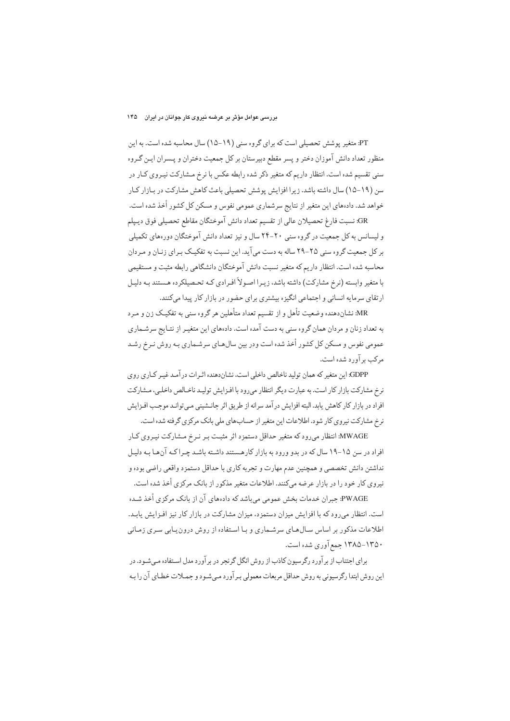PT: متغیر پوشش تحصیلی است که برای گروه سنی (۱۹−۱۵) سال محاسبه شده است. به این منظور تعداد دانش آموزان دختر و پسر مقطع دبیرستان بر کل جمعیت دختران و پـسران ایـن گـروه سنی تقسیم شده است. انتظار داریم که متغیر ذکر شده رابطه عکس با نرخ مـشارکت نیـروی کـار در سن (۱۹-۱۵) سال داشته باشد. زیرا افزایش پوشش تحصیلی باعث کاهش مشارکت در بـازار کـار خواهد شد. دادههای این متغیر از نتایج سرشماری عمومی نفوس و مسکن کل کشور أخذ شده است.

GR: نسبت فارغ تحصيلان عالي از تقسيم تعداد دانش آموختگان مقاطع تحصيلي فوق ديـيلم و لیسانس به کل جمعیت در گروه سنی ۲۰-۲۴ سال و نیز تعداد دانش آموختگان دورههای تکمیلی بر کل جمعیت گروه سنی ۲۵-۲۹ ساله به دست می آید. این نسبت به تفکیـک بـرای زنـان و مـردان محاسبه شده است. انتظار داریم که متغیر نسبت دانش آموختگان دانشگاهی رابطه مثبت و مستقیمی با متغیر وابسته (نرخ مشارکت) داشته باشد، زیـرا اصـولاً افـرادي کـه تحـصیلکرده هـستند بـه دلیـل ارتقای سرمایه انسانی و اجتماعی انگیزه بیشتری برای حضور در بازار کار پیدا میکنند.

MR: نشاندهنده وضعیت تأهل و از تقسیم تعداد متأهلین هر گروه سنی به تفکیـک زن و مـرد به تعداد زنان و مردان همان گروه سنی به دست آمده است. دادههای این متغیـر از نتـایج سرشـماری عمومی نفوس و مسکن کل کشور أخذ شده است ودر بین سالهای سرشـماری بـه روش نـرخ رشـد مرکب بر آورد شده است.

GDPP. این متغیر که همان تولید ناخالص داخلی است، نشاندهنده اثیرات در آمید غیبر کیاری روی نرخ مشاركت بازار كار است. به عبارت ديگر انتظار مى رود با افـزايش توليـد ناخـالص داخلـى، مـشاركت افراد در بازار کار کاهش پابد. البته افزایش در آمد سرانه از طریق اثر جانــشینی مـی توانـد موجـب افـزایش نرخ مشارکت نیروی کار شود. اطلاعات این متغیر از حسابهای ملی بانک مرکزی گرفته شده است.

MWAGE: انتظار می رود که متغیر حداقل دستمزد اثر مثبت بـر نـرخ مـشارکت نیـروی کـار افراد در سن ۱۵–۱۹ سال که در بدو ورود به بازار کارهستند داشته باشـد چـراکـه آن هـا بـه دليـل نداشتن دانش تخصصي و همچنين عدم مهارت و تجربه كاري با حداقل دستمز د واقعي راضي بوده و نیروی کار خود را در بازار عرضه میکنند. اطلاعات متغیر مذکور از بانک مرکزی أخذ شده است.

PWAGE: جبران خدمات بخش عمومي ميباشد كه دادههاي آن از بانك مركزي أخذ شـده است. انتظار میرود که با افزایش میزان دستمزد، میزان مشارکت در بازار کار نیز افـزایش یابـد. اطلاعات مذکور بر اساس سال های سرشماری و با استفاده از روش درون یابی سری زمانی ۱۳۵۰–۱۳۸۵ جمع آوري شده است.

برای اجتناب از برآورد رگرسیون کاذب از روش انگل گرنجر در برآورد مدل استفاده میشود. در این روش ابتدا رگرسیونی به روش حداقل مربعات معمولی بـر آورد مـی شـو د و جمـلات خطـای آن را بـه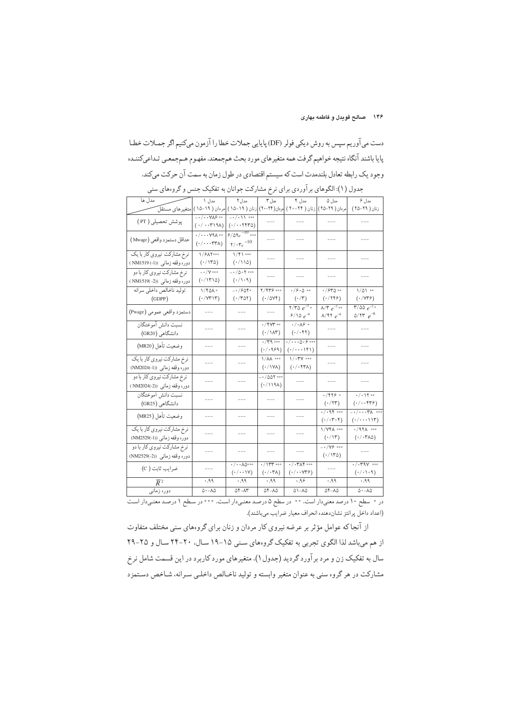## ۱۴۶ صالح قویدل و فاطمه بهاری

دست میآوریم سپس به روش دیکی فولر (DF) پایایی جملات خطا را آزمون میکنیم اگر جمـلات خطـا پایا باشند آنگاه نتیجه خواهیم گرفت همه متغیرهای مورد بحث همجمعند. مفهوم هـمجمعـي تـداعيكننـده وجود یک رابطه تعادل بلندمدت است که سیستم اقتصادی در طول زمان به سمت آن حرکت می کند.

| مدل ها                                                                  | مدل ۱                                                                           | مدل ۲                                                                                                       | مدل ۳                                                          | مدل ۴                                                          | مدل ۵                                                             | مدل ۶                                                                     |
|-------------------------------------------------------------------------|---------------------------------------------------------------------------------|-------------------------------------------------------------------------------------------------------------|----------------------------------------------------------------|----------------------------------------------------------------|-------------------------------------------------------------------|---------------------------------------------------------------------------|
| امردان ( ۱۹–۱۵ ) امتغیرهای مستقل                                        |                                                                                 |                                                                                                             |                                                                | مردان ( ٢٩–٢٥ ) [زنان ( ٢۴–٢٠ ) [مردان( ٢۴–٢٠) [زنان ( ١٩–١٥ ) |                                                                   | زنان ( ۲۹–۲۵ )                                                            |
| پوشش تحصیلی ( PT )                                                      | $-\cdot/\cdot\cdot$ YA $\circ$ **<br>$(\cdot/\cdot\cdot\mathsf{r}\mathsf{191})$ | $- \cdot / \cdot \setminus \cdot$ ***<br>$(\cdot/\cdot\cdot$ ( $\uparrow\uparrow\uparrow\uparrow\uparrow$ ) |                                                                |                                                                |                                                                   |                                                                           |
| حداقل دستمزد واقعي (Mwage)                                              | $\cdot/\cdot\cdot\cdot$ Y9A **<br>$(\cdot/\cdots$ ۳۳۸)                          | $9/09e^{-10}$ ***<br>$\gamma/\cdot \tau_{\rm e}$ $^{-10}$                                                   |                                                                |                                                                |                                                                   |                                                                           |
| نرخ مشارکت نیروی کار با یک<br>دوره وقفه زمان <sub>ی</sub> ((NM1519 )    | 1/۶۸۲***<br>$(\cdot/\text{1rd})$                                                | $1/f1***$<br>(110)                                                                                          |                                                                |                                                                |                                                                   |                                                                           |
| نرخ مشارکت نیروی کار با دو<br>دوره وقفه زمانی ((NM1519(-2               | $ \cdot$ /Y ***<br>$(\cdot / \mathcal{N} \setminus \mathcal{O})$                | $- \cdot / \Delta \cdot Y$ ***<br>$(\cdot/\wedge\cdot\mathcal{A})$                                          |                                                                |                                                                |                                                                   |                                                                           |
| توليد ناخالص داخلي سرانه<br>(GDPP)                                      | $1/F\Delta\Lambda *$<br>$(\cdot / \forall \tau) \tau$                           | $- \cdot 760$ ۴*<br>$(\cdot$ /۳۵۲)                                                                          | $Y/FY9$ ***<br>$(\cdot/\Delta V)$                              | $\cdot$ /9 $\cdot$ $\circ$ $\cdot$<br>$(\cdot/\mathsf{r})$     | $\cdot$ / $540**$<br>$(\cdot$ /۲۴۶)                               | $1/\Delta 1$ **<br>$(\cdot$ /Y۳۶)                                         |
| دستمزد واقعي عمومي (Pwage)                                              |                                                                                 |                                                                                                             |                                                                | $7/70e^{-7}$<br>$8/10e^{-8}$                                   | $\sqrt{\Upsilon} e^{-7}$ **<br>$\lambda$ /۴۲ $e^{-8}$             | $7/\Delta\Delta e^{-7}$<br>$\Delta$ /۲۳ $e^{-8}$                          |
| نسبت دانش أموختگان<br>دانشگاهی (GR20)                                   |                                                                                 |                                                                                                             | $\cdot$ /۲۷۳ **<br>$(\cdot/\lambda\tau)$                       | $\cdot / \cdot \lambda$ ۶ *<br>$(\cdot/\cdot$ ۴۲)              |                                                                   |                                                                           |
| وضعيت تأهل (MR20)                                                       |                                                                                 |                                                                                                             | $\cdot$ /۳۹ ***<br>$( \cdot / \cdot 959)$                      | ۰/۰۰۰۵۰۶**<br>$(\cdot/\cdots$ ۱۴۱)                             |                                                                   |                                                                           |
| نرخ مشاركت نيروي كار با يك<br>دوره وقفه زماني ((NM2024(-1)              |                                                                                 |                                                                                                             | $1/\lambda\lambda$ ***<br>$(\cdot / \vee \vee \wedge)$         | $\sqrt{\cdot \mathsf{TV}}$ ***<br>$(\cdot/\cdot$ fra)          |                                                                   |                                                                           |
| نرخ مشارکت نیروی کار با دو<br>دوره وقفه زمان <sub>ی</sub> ((NM2024(-2 ) |                                                                                 |                                                                                                             | $- \cdot / \Delta \Delta Y$ ***<br>$(119\lambda)$              |                                                                | $---$                                                             |                                                                           |
| نسبت دانش آموختگان<br>دانشگاهی (GR25)                                   |                                                                                 |                                                                                                             |                                                                | $- - -$                                                        | $\cdot$ /۴۲۶ *<br>$(\cdot/\tau\tau)$                              | $\cdot$ / $\cdot$ \ \ **<br>$(\cdot/\cdot\cdot$ ۴۳۶)                      |
| وضعيت تأهل (MR25)                                                       |                                                                                 |                                                                                                             |                                                                |                                                                | $. / .94$ ***<br>$(\cdot/\cdot$ ۳۰۴)                              | $-\cdot$ / $\cdot\cdot\cdot\tau$ / ***<br>$(\cdot/\cdots\wedge\cdot\tau)$ |
| نرخ مشارکت نیروی کار با یک<br>دوره وقفه زماني ((NM2529(-1)              |                                                                                 |                                                                                                             |                                                                |                                                                | <b>1/YFA</b> ***<br>$(\cdot/\N)$                                  | $\cdot$ /974 ***<br>$(\cdot/\cdot\mathsf{r}\wedge\mathsf{o})$             |
| نرخ مشارکت نیروی کار با دو<br>دوره وقفه زمان <sub>ی</sub> ((NM2529(-2   |                                                                                 |                                                                                                             |                                                                |                                                                | $-$ + / $Y$ $9$ ***<br>$(\cdot/\backslash \texttt{r}_\texttt{0})$ |                                                                           |
| ضرايب ثابت ( C)                                                         | ---                                                                             | $\cdot/\cdot\cdot\lambda\Delta^{***}$<br>$(\cdot/\cdot\cdot\vee)$                                           | $\cdot / \sqrt{1 + \cdots}$<br>$(\cdot/\cdot\mathsf{r}\wedge)$ | $\cdot / \cdot \text{YAF}$ ***<br>$(\cdot/\cdot\cdot\vee\tau)$ | $---$                                                             | $\cdot / \cdot$ rqv ***<br>$(\cdot/\cdot\setminus\cdot\mathfrak{q})$      |
| $\overline{R}^2$                                                        | ۹۹.۰                                                                            | ۹۹، ۰                                                                                                       | ٬۹۹                                                            | .99                                                            | ۹۹.۰                                                              | ٬۹۹                                                                       |
| دوره زماني                                                              | ۵۰-۸۵                                                                           | ۵۴-۸۳                                                                                                       | 54-15                                                          | ۸۵–۸۵                                                          | 54-15                                                             | $\Delta - \Lambda \Delta$                                                 |
|                                                                         |                                                                                 |                                                                                                             |                                                                |                                                                |                                                                   |                                                                           |

جدول (۱): الگوهای بر آوردی برای نرخ مشارکت جوانان به تفکیک جنس و گروههای سنی

.<br>در \* سطح ۱۰ درصد معنىدار است. \*\* در سطح ۵ درصد معنىدار است. \*\*\* در سطح ۱ درصد معنىدار است (اعداد داخل پرانتز نشاندهنده انحراف معیار ضرایب میباشند).

از آنجا که عوامل مؤثر بر عرضه نیروی کار مردان و زنان برای گروههای سنی مختلف متفاوت از هم میباشد لذا الگوی تجربی به تفکیک گروههای سـنی ۱۵–۱۹ سـال. ۲۰–۲۴ سـال و ۲۵–۲۹ سال به تفکیک زن و مرد بر آورد گردید (جدول۱). متغیرهای مورد کاربرد در این قسمت شامل نرخ مشارکت در هر گروه سنی به عنوان متغیر وابسته و تولید ناخـالص داخلـی سـرانه، شـاخص دسـتمزد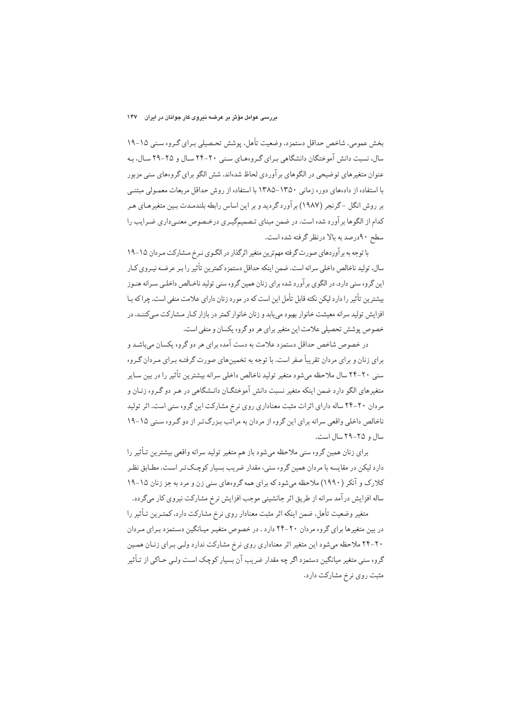بخش عمومی، شاخص حداقل دستمزد، وضعیت تأهل، یوشش تحـصیلی بـرای گـروه سـنی ۱۵–۱۹ سال، نسبت دانش آموختگان دانشگاهی برای گروههای سنبی ۲۰-۲۴ سال و ۲۵-۲۹ سال، بـه عنوان متغیرهای توضیحی در الگوهای بر آوردی لحاظ شدهاند. شش الگو برای گروههای سنی مزبور با استفاده از دادههای دوره زمانی ۱۳۵۰–۱۳۸۵ با استفاده از روش حداقل مربعات معمـولی مبتنـی بر روش انگل -گرنجر (۱۹۸۷) برآورد گردید و بر این اساس رابطه بلندمـدت بـین متغیرهـای هـر کدام از الگوها بر آورد شده است. در ضمن مبنای تـصمیمگیـری درخـصوص معنـی،داری ضـرایب را سطح ۹۰درصد به بالا درنظر گرفته شده است.

با توجه به برآوردهای صورت گرفته مهمترین متغیر اثرگذار در الگـوی نـرخ مـشارکت مـردان ۱۵–۱۹ سال، تولید ناخالص داخلی سرانه است. ضمن اینکه حداقل دستمز د کمترین تأثیر را بیر عرضیه نییروی کیار این گروه سنی دارد. در الگوی برآورد شده برای زنان همین گروه سنی تولید ناخـالص داخلـی سـرانه هنـوز بیشترین تأثیر را دارد لیکن نکته قابل تأمل این است که در مورد زنان دارای علامت منفی است. چراکه بـا افزایش تولید سرانه معیشت خانوار بهبود می پابد و زنان خانوار کمتر در بازار کـار مـشارکت مـه کننـد. در خصوص یوشش تحصیلی علامت این متغیر برای هر دو گروه یکسان و منفی است.

در خصوص شاخص حداقل دستمزد علامت به دست آمده برای هر دو گروه یکسان میباشد و برای زنان و برای مردان تقریباً صفر است. با توجه به تخمینهای صورت گرفتـه بـرای مـردان گـروه سنی ۲۰-۲۴ سال ملاحظه می شود متغیر تولید ناخالص داخلی سرانه بیشترین تأثیر را در بین سـایر متغیرهای الگو دارد ضمن اینکه متغیر نسبت دانش آموختگــان دانــشگاهی در هـر دو گــروه زنــان و مردان ۲۰-۲۴ ساله دارای اثرات مثبت معناداری روی نرخ مشارکت این گروه سنی است. اثر تولید ناخالص داخلی واقعی سرانه برای این گروه از مردان به مراتب بـزرگتـر از دو گـروه سـنی ۱۵-۱۹ سال و ۲۵-۲۹ سال است.

براي زنان همين گروه سني ملاحظه مي شود باز هم متغير توليد سرانه واقعي بيشترين تـأثير را دارد لیکن در مقایسه با مردان همین گروه سنی، مقدار ضریب بسیار کوچـکتـر اسـت. مطـابق نظـر کلارک و آنکر (۱۹۹۰) ملاحظه میشود که برای همه گروههای سنی زن و مرد به جز زنان ۱۵–۱۹ ساله افزایش در آمد سرانه از طریق اثر جانشینی موجب افزایش نرخ مشارکت نیروی کار میگردد.

متغیر وضعیت تأهل، ضمن اینکه اثر مثبت معنادار روی نرِخ مشارکت دارد، کمتـرین تـأثیر را در بین متغیرها برای گروه مردان ۲۰-۲۴ دارد . در خصوص متغیـر میـانگین دسـتمزد بـرای مـردان ۲۰-۲۴ ملاحظه میشود این متغیر اثر معناداری روی نرخ مشارکت ندارد ولبی بـرای زنـان همـین گروه سنی متغیر میانگین دستمزد اگر چه مقدار ضریب آن بسیار کوچک است ولـی حـاکی از تـأثیر مثبت روي نرخ مشاركت دارد.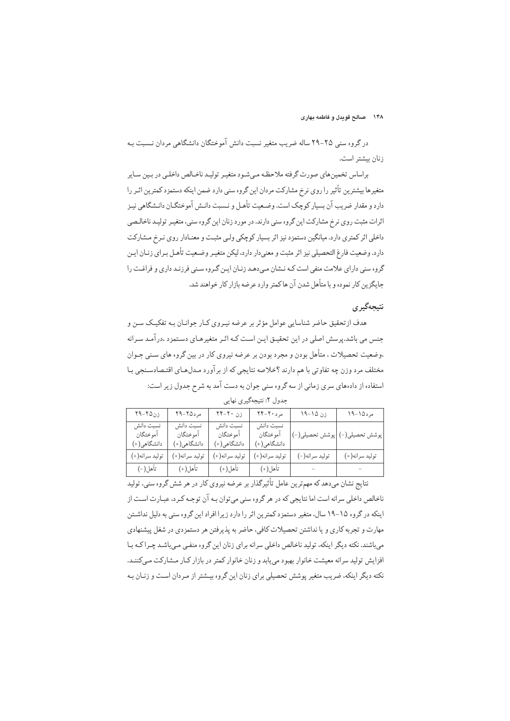در گروه سنی ۲۵-۲۹ ساله ضریب متغیر نسبت دانش آموختگان دانشگاهی مردان نـسبت بـه زنان بيشتر است.

براساس تخمین های صورت گرفته ملاحظه می شـود متغیـر تولیـد ناخـالص داخلـی در بـین سـایر متغیرها بیشترین تأثیر را روی نرخ مشارکت مردان این گروه سنی دارد ضمن اینکه دستمزد کمترین اثـر را دارد و مقدار ضريب آن بسيار كوچك است. وضـعيت تأهـل و نـسبت دانـش آموختگـان دانـشگاهي نيـز اثرات مثبت روی نرخ مشارکت این گروه سنی دارند. در مورد زنان این گروه سنی، متغییر تولیید ناخالیصی داخلی اثر کمتری دارد. میانگین دستمزد نیز اثر بسیار کوچکی ولبی مثبت و معنـادار روی نـرخ مـشارکت دارد. وضعيت فارغ التحصيلي نيز اثر مثبت و معنى دار دارد، ليكن متغيـر وضـعيت تأهـل بـراي زنــان ايـن گروه سنی دارای علامت منفی است کـه نــشان مـی دهـد زنــان ایــن گــروه ســنی فرزنـد داری و فراغـت را حايگز بن كار نموده و با متأهل شدن آن هاكمتر وارد عرضه بازار كار خواهند شد.

## نتيجەگير ي

هدف از تحقیق حاضر شناسایی عوامل مؤثر بر عرضه نیـروی کـار جوانـان بـه تفکیـک سـن و جنس می باشد.پرسش اصلی در این تحقیـق ایـن اسـت کـه اثـر متغیرهـای دسـتمزد ،در آمـد سـرانه ،وضعیت تحصیلات ، متأهل بودن و مجرد بودن بر عرضه نیروی کار در بین گروه های سـنی جـوان مختلف مرد وزن چه تفاوتي با هم دارند ؟خلاصه نتايجي كه از برآورد مـدلهـاي اقتـصادسـنجي بـا استفاده از دادههای سری زمانی از سه گروه سنی جوان به دست آمد به شرح جدول زیر است:

| زن۲۵–۲۹                              | مرد ۲۵-۲۹                            | زن ۲۰-۲۴                             | $Yf - Y \cdot 3$ مرد                 | $19 - 10$ :    | $19 - 104$                     |
|--------------------------------------|--------------------------------------|--------------------------------------|--------------------------------------|----------------|--------------------------------|
| نسبت دانش<br>آموختگان<br>دانشگاهي(+) | نسبت دانش<br>آموختگان<br>دانشگاهي(+) | نسبت دانش<br>آموختگان<br>دانشگاهی(+) | نسبت دانش<br>آموختگان<br>دانشگاهي(+) |                | پوشش تحصيلي(-)  پوشش تحصيلي(-) |
| توليد سرانه(+)                       | توليد سرانه(+)                       | توليد سرانه(+)                       | توليد سرانه(+)                       | توليد سرانه(-) | توليد سرانه(+)                 |
| تأهل( –)                             | تأهل(+)                              | تأهل(+)                              | تأهل(+)                              |                |                                |

جدول ۲: نتیجهگیری نهایی

نتایج نشان میدهد که مهمترین عامل تأثیرگذار بر عرضه نیروی کار در هر شش گروه سنی، تولید ناخالص داخلی سرانه است اما نتایجی که در هر گروه سنی میتوان بـه آن توجـه کـرد، عبـارت اسـت از اینکه در گروه ۱۵-۱۹ سال، متغیر دستمزد کمترین اثر را دارد زیرا افراد این گروه سنی به دلیل نداشـتن مهارت و تجربه کاری و یا نداشتن تحصیلات کافی، حاضر به پذیرفتن هر دستمزدی در شغل پیشنهادی میباشند. نکته دیگر اینکه، تولید ناخالص داخلی سرانه برای زنان این گروه منفی میباشد چـراکـه بـا افزایش تولید سرانه معیشت خانوار بهبود می بابد و زنان خانوار کمتر در بازار کـار مـشارکت مـی)کننـد. نکته دیگر اینکه، ضریب متغیر پوشش تحصیلی برای زنان این گروه بیـشتر از مـردان اسـت و زنـان بـه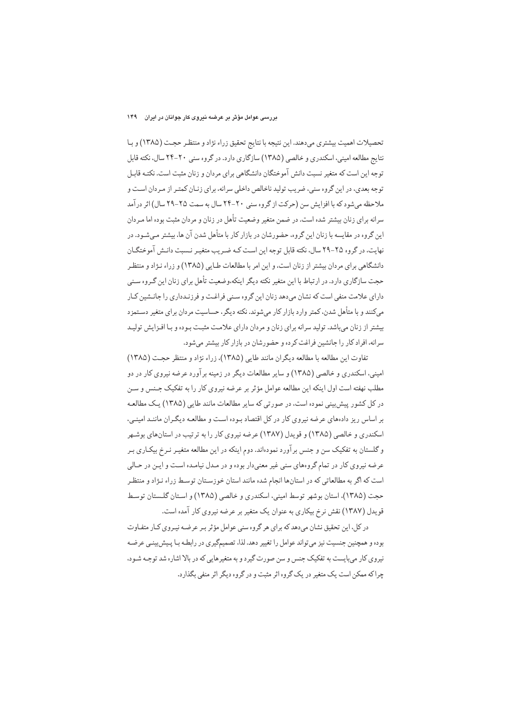### بررسی عوامل مؤثر بر عرضه نیروی کار جوانان در ایران ۱۴۹

تحصیلات اهمیت بیشتری میدهند. این نتیجه با نتایج تحقیق زراء نژاد و منتظر حجـت (۱۳۸۵) و بـا نتايج مطالعه اميني، اسكندري و خالصي (١٣٨٥) سازگاري دارد. در گروه سني ٢٠-٢۴ سال، نكته قابل توجه این است که متغیر نسبت دانش آموختگان دانشگاهی برای مردان و زنان مثبت است. نکتـه قابـل توجه بعدي، در اين گروه سني، ضريب توليد ناخالص داخلي سرانه، براي زنـان كمتـر از مـردان اسـت و ملاحظه میشود که با افزایش سن (حرکت از گروه سنی ۲۰-۲۴ سال به سمت ۲۵-۲۹ سال) اثر درآمد سرانه برای زنان بیشتر شده است. در ضمن متغیر وضعیت تأهل در زنان و مردان مثبت بوده اما مـردان این گروه در مقایسه با زنان این گروه، حضورشان در بازار کار با متأهل شدن آن ها، بیشتر مـیشـود. در نهایت، در گروه ۲۵-۲۹ سال، نکته قابل توجه این است کـه ضـریب متغیـر نـسبت دانـش آموختگـان دانشگاهی برای مردان بیشتر از زنان است، و این امر با مطالعات طـایی (۱۳۸۵) و زراء نـژاد و منتظـر حجت سازگاری دارد. در ارتباط با این متغیر نکته دیگر اینکه،وضعیت تأهل برای زنان این گـروه سـنی دارای علامت منفی است که نشان میدهد زنان این گروه سـنی فراغـت و فرزنـدداری را جانـشین کـار میکنند و با متأهل شدن، کمتر وارد بازار کار میشوند. نکته دیگر، حساسیت مردان برای متغیر دسـتمزد بیشتر از زنان میباشد. تولید سرانه برای زنان و مردان دارای علامت مثبت بـوده و بـا افـزایش تولیـد سرانه، افراد کار را جانشین فراغت کرده و حضورشان در بازار کار بیشتر می شود.

تفاوت این مطالعه با مطالعه دیگران مانند طایی (۱۳۸۵)، زراء نژاد و منتظر حجت (۱۳۸۵) امینی، اسکندری و خالصی (۱۳۸۵) و سایر مطالعات دیگر در زمینه برآورد عرضه نیروی کار در دو مطلب نهفته است اول اینکه این مطالعه عوامل مؤثر بر عرضه نیروی کار را به تفکیک جـنس و سـن در کل کشور پیشبینی نموده است، در صورتی که سایر مطالعات مانند طایی (۱۳۸۵) یک مطالعـه بر اساس ریز دادههای عرضه نیروی کار در کل اقتصاد بوده است و مطالعـه دیگـران ماننـد امینـی، اسکندری و خالصی (۱۳۸۵) و قویدل (۱۳۸۷) عرضه نیروی کار را به ترتیب در استانهای بوشهر و گلستان به تفکیک سن و جنس برآورد نمودهاند. دوم اینکه در این مطالعه متغیـر نـرخ بیکـاری بـر عرضه نیروی کار در تمام گروههای سنی غیر معنیدار بوده و در مدل نیامده است و این در حـالی است که اگر به مطالعاتی که در استانها انجام شده مانند استان خوزسـتان توسـط زراء نـژاد و منتظـر حجت (١٣٨٥)، استان بوشهر توسط اميني، اسكندري و خالصي (١٣٨٥) و استان گلستان توسط قویدل (۱۳۸۷) نقش نرخ بیکاری به عنوان یک متغیر بر عرضه نیروی کار آمده است.

در کل، این تحقیق نشان میدهد که برای هر گروه سنی عوامل مؤثر بـر عرضـه نیـروی کـار متفـاوت بوده و همچنین جنسیت نیز میتواند عوامل را تغییر دهد. لذا، تصمیمگیری در رابطـه بـا پـیش بینـی عرضـه نیروی کار می بایست به تفکیک جنس و سن صورت گیرد و به متغیرهایی که در بالا اشاره شد توجـه شـود. چراکه ممکن است یک متغیر در یک گروه اثر مثبت و در گروه دیگر اثر منفی بگذارد.